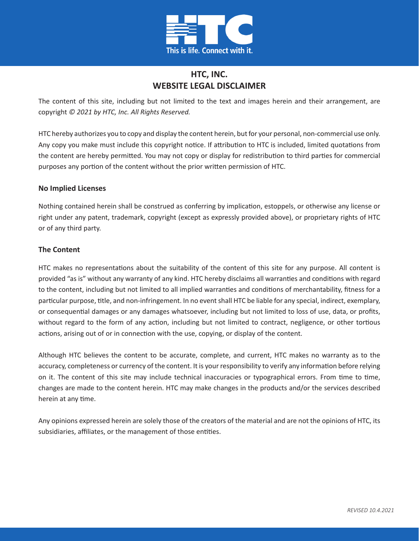

# **HTC, INC. WEBSITE LEGAL DISCLAIMER**

The content of this site, including but not limited to the text and images herein and their arrangement, are copyright *© 2021 by HTC, Inc. All Rights Reserved.*

HTC hereby authorizes you to copy and display the content herein, but for your personal, non-commercial use only. Any copy you make must include this copyright notice. If attribution to HTC is included, limited quotations from the content are hereby permitted. You may not copy or display for redistribution to third parties for commercial purposes any portion of the content without the prior written permission of HTC.

### **No Implied Licenses**

Nothing contained herein shall be construed as conferring by implication, estoppels, or otherwise any license or right under any patent, trademark, copyright (except as expressly provided above), or proprietary rights of HTC or of any third party.

### **The Content**

HTC makes no representations about the suitability of the content of this site for any purpose. All content is provided "as is" without any warranty of any kind. HTC hereby disclaims all warranties and conditions with regard to the content, including but not limited to all implied warranties and conditions of merchantability, fitness for a particular purpose, title, and non-infringement. In no event shall HTC be liable for any special, indirect, exemplary, or consequential damages or any damages whatsoever, including but not limited to loss of use, data, or profits, without regard to the form of any action, including but not limited to contract, negligence, or other tortious actions, arising out of or in connection with the use, copying, or display of the content.

Although HTC believes the content to be accurate, complete, and current, HTC makes no warranty as to the accuracy, completeness or currency of the content. It is your responsibility to verify any information before relying on it. The content of this site may include technical inaccuracies or typographical errors. From time to time, changes are made to the content herein. HTC may make changes in the products and/or the services described herein at any time.

Any opinions expressed herein are solely those of the creators of the material and are not the opinions of HTC, its subsidiaries, affiliates, or the management of those entities.